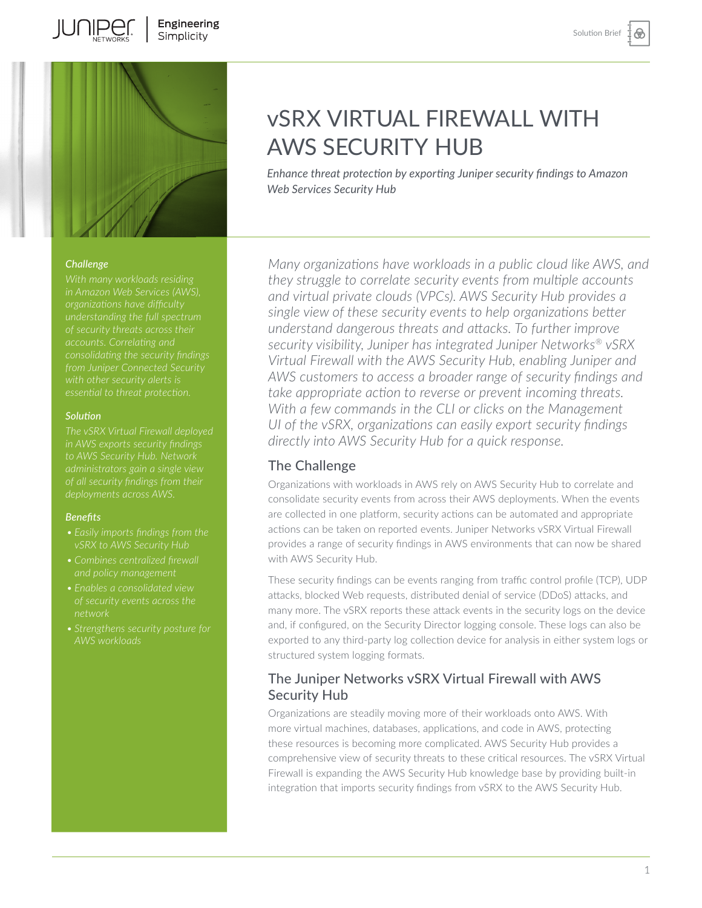⊛



#### *Challenge*

*understanding the full spectrum accounts. Correlating and essential to threat protection.* 

#### *Solution*

*in AWS exports security findings of all security findings from their deployments across AWS.* 

#### *Benefits*

- 
- 
- 
- 

# vSRX VIRTUAL FIREWALL WITH AWS SECURITY HUB

*Enhance threat protection by exporting Juniper security findings to Amazon Web Services Security Hub* 

*Many organizations have workloads in a public cloud like AWS, and they struggle to correlate security events from multiple accounts and virtual private clouds (VPCs). AWS Security Hub provides a single view of these security events to help organizations better understand dangerous threats and attacks. To further improve security visibility, Juniper has integrated Juniper Networks® vSRX Virtual Firewall with the AWS Security Hub, enabling Juniper and AWS customers to access a broader range of security findings and take appropriate action to reverse or prevent incoming threats. With a few commands in the CLI or clicks on the Management UI of the vSRX, organizations can easily export security findings directly into AWS Security Hub for a quick response.* 

### The Challenge

Organizations with workloads in AWS rely on AWS Security Hub to correlate and consolidate security events from across their AWS deployments. When the events are collected in one platform, security actions can be automated and appropriate actions can be taken on reported events. Juniper Networks vSRX Virtual Firewall provides a range of security findings in AWS environments that can now be shared with AWS Security Hub.

These security findings can be events ranging from traffic control profile (TCP), UDP attacks, blocked Web requests, distributed denial of service (DDoS) attacks, and many more. The vSRX reports these attack events in the security logs on the device and, if configured, on the Security Director logging console. These logs can also be exported to any third-party log collection device for analysis in either system logs or structured system logging formats.

# The Juniper Networks vSRX Virtual Firewall with AWS Security Hub

Organizations are steadily moving more of their workloads onto AWS. With more virtual machines, databases, applications, and code in AWS, protecting these resources is becoming more complicated. AWS Security Hub provides a comprehensive view of security threats to these critical resources. The vSRX Virtual Firewall is expanding the AWS Security Hub knowledge base by providing built-in integration that imports security findings from vSRX to the AWS Security Hub.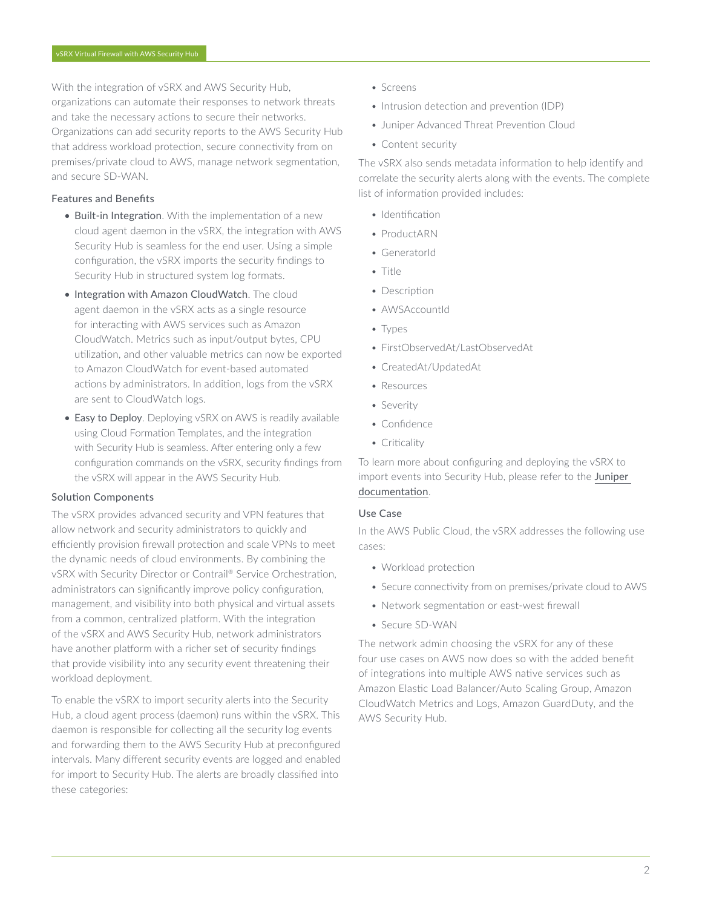With the integration of vSRX and AWS Security Hub, organizations can automate their responses to network threats and take the necessary actions to secure their networks. Organizations can add security reports to the AWS Security Hub that address workload protection, secure connectivity from on premises/private cloud to AWS, manage network segmentation, and secure SD-WAN.

#### Features and Benefits

- Built-in Integration. With the implementation of a new cloud agent daemon in the vSRX, the integration with AWS Security Hub is seamless for the end user. Using a simple configuration, the vSRX imports the security findings to Security Hub in structured system log formats.
- Integration with Amazon CloudWatch. The cloud agent daemon in the vSRX acts as a single resource for interacting with AWS services such as Amazon CloudWatch. Metrics such as input/output bytes, CPU utilization, and other valuable metrics can now be exported to Amazon CloudWatch for event-based automated actions by administrators. In addition, logs from the vSRX are sent to CloudWatch logs.
- Easy to Deploy. Deploying vSRX on AWS is readily available using Cloud Formation Templates, and the integration with Security Hub is seamless. After entering only a few configuration commands on the vSRX, security findings from the vSRX will appear in the AWS Security Hub.

#### Solution Components

The vSRX provides advanced security and VPN features that allow network and security administrators to quickly and efficiently provision firewall protection and scale VPNs to meet the dynamic needs of cloud environments. By combining the vSRX with Security Director or Contrail® Service Orchestration, administrators can significantly improve policy configuration, management, and visibility into both physical and virtual assets from a common, centralized platform. With the integration of the vSRX and AWS Security Hub, network administrators have another platform with a richer set of security findings that provide visibility into any security event threatening their workload deployment.

To enable the vSRX to import security alerts into the Security Hub, a cloud agent process (daemon) runs within the vSRX. This daemon is responsible for collecting all the security log events and forwarding them to the AWS Security Hub at preconfigured intervals. Many different security events are logged and enabled for import to Security Hub. The alerts are broadly classified into these categories:

- Screens
- Intrusion detection and prevention (IDP)
- Juniper Advanced Threat Prevention Cloud
- Content security

The vSRX also sends metadata information to help identify and correlate the security alerts along with the events. The complete list of information provided includes:

- Identification
- ProductARN
- GeneratorId
- Title
- Description
- AWSAccountId
- Types
- FirstObservedAt/LastObservedAt
- CreatedAt/UpdatedAt
- Resources
- Severity
- Confidence
- Criticality

To learn more about configuring and deploying the vSRX to import events into Security Hub, please refer to the Juniper [documentation](https://www.juniper.net/documentation/us/en/software/vsrx/vsrx-consolidated-deployment-guide/index.html).

#### Use Case

In the AWS Public Cloud, the vSRX addresses the following use cases:

- Workload protection
- Secure connectivity from on premises/private cloud to AWS
- Network segmentation or east-west firewall
- Secure SD-WAN

The network admin choosing the vSRX for any of these four use cases on AWS now does so with the added benefit of integrations into multiple AWS native services such as Amazon Elastic Load Balancer/Auto Scaling Group, Amazon CloudWatch Metrics and Logs, Amazon GuardDuty, and the AWS Security Hub.